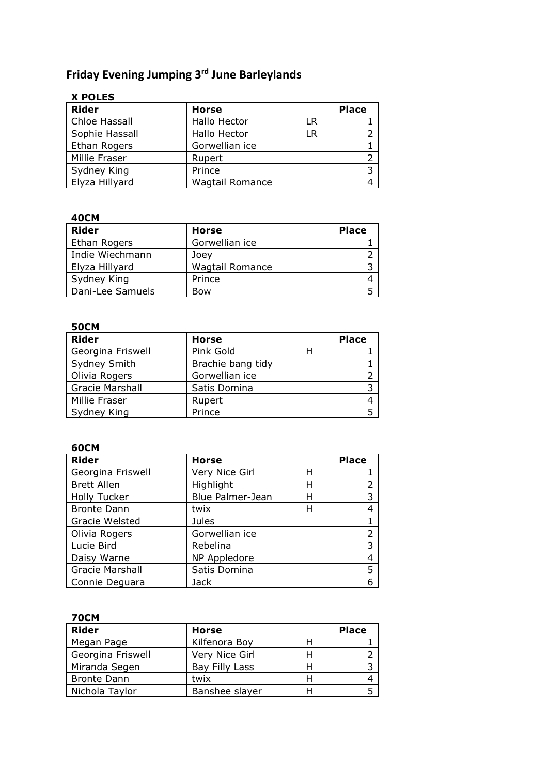# **Friday Evening Jumping 3rd June Barleylands**

# **X POLES**

| <b>Rider</b>   | <b>Horse</b>           |     | <b>Place</b> |
|----------------|------------------------|-----|--------------|
| Chloe Hassall  | Hallo Hector           | LR. |              |
| Sophie Hassall | Hallo Hector           | LR. |              |
| Ethan Rogers   | Gorwellian ice         |     |              |
| Millie Fraser  | Rupert                 |     |              |
| Sydney King    | Prince                 |     |              |
| Elyza Hillyard | <b>Wagtail Romance</b> |     |              |

### **40CM**

| Rider            | <b>Horse</b>           | <b>Place</b> |
|------------------|------------------------|--------------|
| Ethan Rogers     | Gorwellian ice         |              |
| Indie Wiechmann  | Joev                   |              |
| Elyza Hillyard   | <b>Wagtail Romance</b> |              |
| Sydney King      | Prince                 |              |
| Dani-Lee Samuels | Bow                    |              |

## **50CM**

| <b>Rider</b>      | <b>Horse</b>      |   | <b>Place</b> |
|-------------------|-------------------|---|--------------|
| Georgina Friswell | Pink Gold         | н |              |
| Sydney Smith      | Brachie bang tidy |   |              |
| Olivia Rogers     | Gorwellian ice    |   |              |
| Gracie Marshall   | Satis Domina      |   |              |
| Millie Fraser     | Rupert            |   |              |
| Sydney King       | Prince            |   |              |

#### **60CM**

| <b>Rider</b>        | <b>Horse</b>     |   | <b>Place</b> |
|---------------------|------------------|---|--------------|
| Georgina Friswell   | Very Nice Girl   | Н |              |
| <b>Brett Allen</b>  | Highlight        | Н | 2            |
| <b>Holly Tucker</b> | Blue Palmer-Jean | Н | 3            |
| <b>Bronte Dann</b>  | twix             | Н | 4            |
| Gracie Welsted      | Jules            |   |              |
| Olivia Rogers       | Gorwellian ice   |   | 2            |
| Lucie Bird          | Rebelina         |   | 3            |
| Daisy Warne         | NP Appledore     |   | 4            |
| Gracie Marshall     | Satis Domina     |   | 5            |
| Connie Deguara      | Jack             |   |              |

### **70CM**

| <b>Rider</b>       | <b>Horse</b>   |   | <b>Place</b> |
|--------------------|----------------|---|--------------|
| Megan Page         | Kilfenora Boy  | н |              |
| Georgina Friswell  | Very Nice Girl | Н |              |
| Miranda Segen      | Bay Filly Lass | Н |              |
| <b>Bronte Dann</b> | twix           | Н |              |
| Nichola Taylor     | Banshee slayer | Н |              |